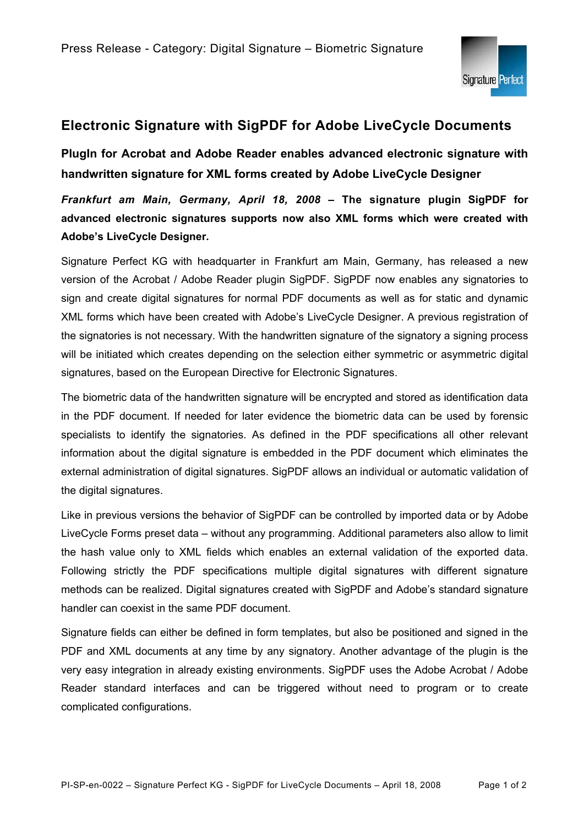

## **Electronic Signature with SigPDF for Adobe LiveCycle Documents**

**PlugIn for Acrobat and Adobe Reader enables advanced electronic signature with handwritten signature for XML forms created by Adobe LiveCycle Designer** 

*Frankfurt am Main, Germany, April 18, 2008* **– The signature plugin SigPDF for advanced electronic signatures supports now also XML forms which were created with Adobe's LiveCycle Designer.** 

Signature Perfect KG with headquarter in Frankfurt am Main, Germany, has released a new version of the Acrobat / Adobe Reader plugin SigPDF. SigPDF now enables any signatories to sign and create digital signatures for normal PDF documents as well as for static and dynamic XML forms which have been created with Adobe's LiveCycle Designer. A previous registration of the signatories is not necessary. With the handwritten signature of the signatory a signing process will be initiated which creates depending on the selection either symmetric or asymmetric digital signatures, based on the European Directive for Electronic Signatures.

The biometric data of the handwritten signature will be encrypted and stored as identification data in the PDF document. If needed for later evidence the biometric data can be used by forensic specialists to identify the signatories. As defined in the PDF specifications all other relevant information about the digital signature is embedded in the PDF document which eliminates the external administration of digital signatures. SigPDF allows an individual or automatic validation of the digital signatures.

Like in previous versions the behavior of SigPDF can be controlled by imported data or by Adobe LiveCycle Forms preset data – without any programming. Additional parameters also allow to limit the hash value only to XML fields which enables an external validation of the exported data. Following strictly the PDF specifications multiple digital signatures with different signature methods can be realized. Digital signatures created with SigPDF and Adobe's standard signature handler can coexist in the same PDF document.

Signature fields can either be defined in form templates, but also be positioned and signed in the PDF and XML documents at any time by any signatory. Another advantage of the plugin is the very easy integration in already existing environments. SigPDF uses the Adobe Acrobat / Adobe Reader standard interfaces and can be triggered without need to program or to create complicated configurations.